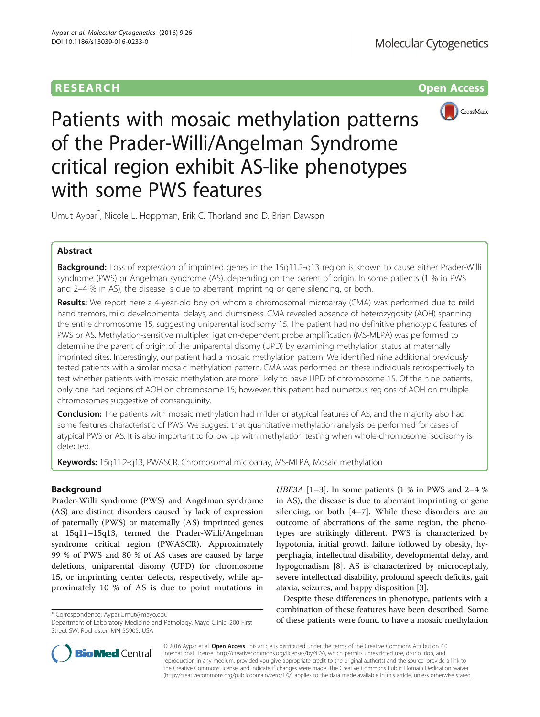# **RESEARCH RESEARCH** *CONSIDERING* **<b>CONSIDERING**



Patients with mosaic methylation patterns of the Prader-Willi/Angelman Syndrome critical region exhibit AS-like phenotypes with some PWS features

Umut Aypar\* , Nicole L. Hoppman, Erik C. Thorland and D. Brian Dawson

## Abstract

Background: Loss of expression of imprinted genes in the 15q11.2-q13 region is known to cause either Prader-Willi syndrome (PWS) or Angelman syndrome (AS), depending on the parent of origin. In some patients (1 % in PWS and 2–4 % in AS), the disease is due to aberrant imprinting or gene silencing, or both.

Results: We report here a 4-year-old boy on whom a chromosomal microarray (CMA) was performed due to mild hand tremors, mild developmental delays, and clumsiness. CMA revealed absence of heterozygosity (AOH) spanning the entire chromosome 15, suggesting uniparental isodisomy 15. The patient had no definitive phenotypic features of PWS or AS. Methylation-sensitive multiplex ligation-dependent probe amplification (MS-MLPA) was performed to determine the parent of origin of the uniparental disomy (UPD) by examining methylation status at maternally imprinted sites. Interestingly, our patient had a mosaic methylation pattern. We identified nine additional previously tested patients with a similar mosaic methylation pattern. CMA was performed on these individuals retrospectively to test whether patients with mosaic methylation are more likely to have UPD of chromosome 15. Of the nine patients, only one had regions of AOH on chromosome 15; however, this patient had numerous regions of AOH on multiple chromosomes suggestive of consanguinity.

Conclusion: The patients with mosaic methylation had milder or atypical features of AS, and the majority also had some features characteristic of PWS. We suggest that quantitative methylation analysis be performed for cases of atypical PWS or AS. It is also important to follow up with methylation testing when whole-chromosome isodisomy is detected.

Keywords: 15q11.2-q13, PWASCR, Chromosomal microarray, MS-MLPA, Mosaic methylation

## Background

Prader-Willi syndrome (PWS) and Angelman syndrome (AS) are distinct disorders caused by lack of expression of paternally (PWS) or maternally (AS) imprinted genes at 15q11–15q13, termed the Prader-Willi/Angelman syndrome critical region (PWASCR). Approximately 99 % of PWS and 80 % of AS cases are caused by large deletions, uniparental disomy (UPD) for chromosome 15, or imprinting center defects, respectively, while approximately 10 % of AS is due to point mutations in

UBE[3](#page-5-0)A  $[1-3]$  $[1-3]$ . In some patients  $(1 % in PWS and 2-4 % )$ in AS), the disease is due to aberrant imprinting or gene silencing, or both [[4](#page-5-0)–[7\]](#page-5-0). While these disorders are an outcome of aberrations of the same region, the phenotypes are strikingly different. PWS is characterized by hypotonia, initial growth failure followed by obesity, hyperphagia, intellectual disability, developmental delay, and hypogonadism [[8](#page-5-0)]. AS is characterized by microcephaly, severe intellectual disability, profound speech deficits, gait ataxia, seizures, and happy disposition [[3](#page-5-0)].

Despite these differences in phenotype, patients with a combination of these features have been described. Some \* Correspondence: [Aypar.Umut@mayo.edu](mailto:Aypar.Umut@mayo.edu)<br>Department of Laboratory Medicine and Pathology. Mayo Clinic. 200 First **of these patients were found to have a mosaic methylation** 



© 2016 Aypar et al. Open Access This article is distributed under the terms of the Creative Commons Attribution 4.0 International License [\(http://creativecommons.org/licenses/by/4.0/](http://creativecommons.org/licenses/by/4.0/)), which permits unrestricted use, distribution, and reproduction in any medium, provided you give appropriate credit to the original author(s) and the source, provide a link to the Creative Commons license, and indicate if changes were made. The Creative Commons Public Domain Dedication waiver [\(http://creativecommons.org/publicdomain/zero/1.0/](http://creativecommons.org/publicdomain/zero/1.0/)) applies to the data made available in this article, unless otherwise stated.

Department of Laboratory Medicine and Pathology, Mayo Clinic, 200 First Street SW, Rochester, MN 55905, USA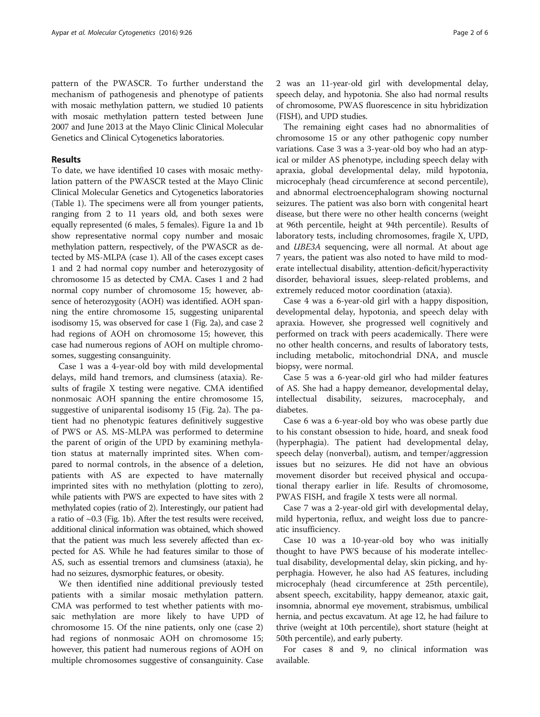pattern of the PWASCR. To further understand the mechanism of pathogenesis and phenotype of patients with mosaic methylation pattern, we studied 10 patients with mosaic methylation pattern tested between June 2007 and June 2013 at the Mayo Clinic Clinical Molecular Genetics and Clinical Cytogenetics laboratories.

#### Results

To date, we have identified 10 cases with mosaic methylation pattern of the PWASCR tested at the Mayo Clinic Clinical Molecular Genetics and Cytogenetics laboratories (Table [1\)](#page-2-0). The specimens were all from younger patients, ranging from 2 to 11 years old, and both sexes were equally represented (6 males, 5 females). Figure [1a](#page-3-0) and [1b](#page-3-0) show representative normal copy number and mosaic methylation pattern, respectively, of the PWASCR as detected by MS-MLPA (case 1). All of the cases except cases 1 and 2 had normal copy number and heterozygosity of chromosome 15 as detected by CMA. Cases 1 and 2 had normal copy number of chromosome 15; however, absence of heterozygosity (AOH) was identified. AOH spanning the entire chromosome 15, suggesting uniparental isodisomy 15, was observed for case 1 (Fig. [2a\)](#page-3-0), and case 2 had regions of AOH on chromosome 15; however, this case had numerous regions of AOH on multiple chromosomes, suggesting consanguinity.

Case 1 was a 4-year-old boy with mild developmental delays, mild hand tremors, and clumsiness (ataxia). Results of fragile X testing were negative. CMA identified nonmosaic AOH spanning the entire chromosome 15, suggestive of uniparental isodisomy 15 (Fig. [2a](#page-3-0)). The patient had no phenotypic features definitively suggestive of PWS or AS. MS-MLPA was performed to determine the parent of origin of the UPD by examining methylation status at maternally imprinted sites. When compared to normal controls, in the absence of a deletion, patients with AS are expected to have maternally imprinted sites with no methylation (plotting to zero), while patients with PWS are expected to have sites with 2 methylated copies (ratio of 2). Interestingly, our patient had a ratio of  $\sim$ 0.3 (Fig. [1b](#page-3-0)). After the test results were received, additional clinical information was obtained, which showed that the patient was much less severely affected than expected for AS. While he had features similar to those of AS, such as essential tremors and clumsiness (ataxia), he had no seizures, dysmorphic features, or obesity.

We then identified nine additional previously tested patients with a similar mosaic methylation pattern. CMA was performed to test whether patients with mosaic methylation are more likely to have UPD of chromosome 15. Of the nine patients, only one (case 2) had regions of nonmosaic AOH on chromosome 15; however, this patient had numerous regions of AOH on multiple chromosomes suggestive of consanguinity. Case

2 was an 11-year-old girl with developmental delay, speech delay, and hypotonia. She also had normal results of chromosome, PWAS fluorescence in situ hybridization (FISH), and UPD studies.

The remaining eight cases had no abnormalities of chromosome 15 or any other pathogenic copy number variations. Case 3 was a 3-year-old boy who had an atypical or milder AS phenotype, including speech delay with apraxia, global developmental delay, mild hypotonia, microcephaly (head circumference at second percentile), and abnormal electroencephalogram showing nocturnal seizures. The patient was also born with congenital heart disease, but there were no other health concerns (weight at 96th percentile, height at 94th percentile). Results of laboratory tests, including chromosomes, fragile X, UPD, and UBE3A sequencing, were all normal. At about age 7 years, the patient was also noted to have mild to moderate intellectual disability, attention-deficit/hyperactivity disorder, behavioral issues, sleep-related problems, and extremely reduced motor coordination (ataxia).

Case 4 was a 6-year-old girl with a happy disposition, developmental delay, hypotonia, and speech delay with apraxia. However, she progressed well cognitively and performed on track with peers academically. There were no other health concerns, and results of laboratory tests, including metabolic, mitochondrial DNA, and muscle biopsy, were normal.

Case 5 was a 6-year-old girl who had milder features of AS. She had a happy demeanor, developmental delay, intellectual disability, seizures, macrocephaly, and diabetes.

Case 6 was a 6-year-old boy who was obese partly due to his constant obsession to hide, hoard, and sneak food (hyperphagia). The patient had developmental delay, speech delay (nonverbal), autism, and temper/aggression issues but no seizures. He did not have an obvious movement disorder but received physical and occupational therapy earlier in life. Results of chromosome, PWAS FISH, and fragile X tests were all normal.

Case 7 was a 2-year-old girl with developmental delay, mild hypertonia, reflux, and weight loss due to pancreatic insufficiency.

Case 10 was a 10-year-old boy who was initially thought to have PWS because of his moderate intellectual disability, developmental delay, skin picking, and hyperphagia. However, he also had AS features, including microcephaly (head circumference at 25th percentile), absent speech, excitability, happy demeanor, ataxic gait, insomnia, abnormal eye movement, strabismus, umbilical hernia, and pectus excavatum. At age 12, he had failure to thrive (weight at 10th percentile), short stature (height at 50th percentile), and early puberty.

For cases 8 and 9, no clinical information was available.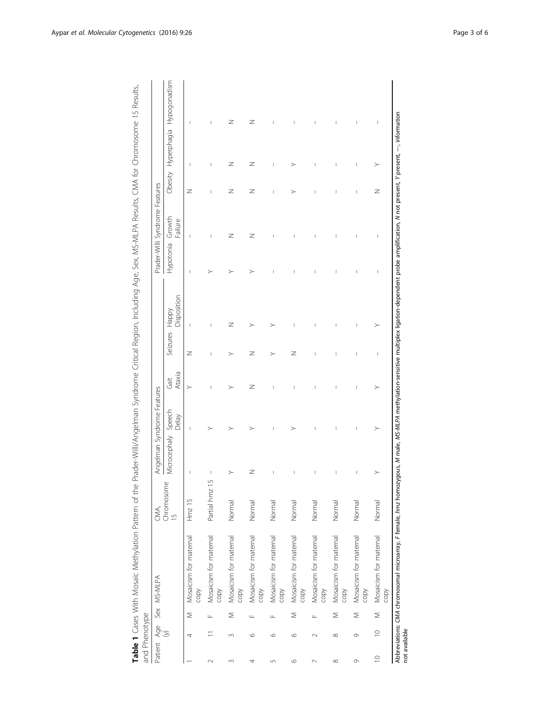| and Phenotype |               |                                                                                                                                                                                                                      |                    |              |                            |                |          |                      |                                |                                       |   |                     |              |
|---------------|---------------|----------------------------------------------------------------------------------------------------------------------------------------------------------------------------------------------------------------------|--------------------|--------------|----------------------------|----------------|----------|----------------------|--------------------------------|---------------------------------------|---|---------------------|--------------|
| Patient       | $\frac{1}{2}$ | Sex MS-MLPA                                                                                                                                                                                                          | CMA,<br>Chromosome |              | Angelman Syndrome Features |                |          |                      |                                | Prader-Willi Syndrome Features        |   |                     |              |
|               |               |                                                                                                                                                                                                                      | $\overline{5}$     | Microcephaly | Speech<br>Delay            | Ataxia<br>Gait | Seizures | Disposition<br>Happy | Hypotonia                      | Growth<br>Failure                     |   | Obesity Hyperphagia | Hypogonadism |
|               | 4             | Mosaicism for maternal<br>copy<br>Σ                                                                                                                                                                                  | $Hmz$ 15           | J            | I                          | $\geq$         | z        | I                    | I                              | $\begin{array}{c} \hline \end{array}$ | Z | I                   | I            |
| $\sim$        | Щ             | Mosaicism for maternal<br>copy                                                                                                                                                                                       | 5<br>Partial hmz   | I            |                            | I              | I        | I                    |                                | I                                     | I |                     | I            |
| m             | $\infty$      | Mosaicism for maternal<br>copy<br>Σ                                                                                                                                                                                  | Normal             |              |                            | ↘              |          | z                    |                                | z                                     | z | z                   | z            |
| 4             | Щ<br>$\circ$  | Mosaicism for maternal<br>copy                                                                                                                                                                                       | Normal             | z            |                            | z              | z        |                      | ↘                              | z                                     | z | z                   | z            |
| 5             | Щ<br>$\circ$  | Mosaicism for maternal<br>copy                                                                                                                                                                                       | Normal             | Ī            | Ī                          |                |          |                      |                                | ı                                     | Ī | Ī                   |              |
| $\circ$       | $\circ$       | Mosaicism for maternal<br>copy<br>Σ                                                                                                                                                                                  | Normal             |              |                            |                | z        |                      |                                |                                       |   | >                   |              |
|               | Щ<br>$\sim$   | Mosaicism for maternal<br>copy                                                                                                                                                                                       | Normal             | I            | I                          | I              | I        |                      | I                              | I                                     |   |                     | I            |
| $^{\circ}$    | $\infty$      | Mosaicism for maternal<br>copy<br>Σ                                                                                                                                                                                  | Normal             | Ī            | Ī                          | I              | Ï        | Ī                    | Ī                              | Ī                                     |   | Ï                   | Ī            |
| $\circ$       | $\circ$       | Mosaicism for maternal<br>copy<br>$\geq$                                                                                                                                                                             | Normal             | I            | I                          | I              | I        | I                    | I                              | I                                     | I | I                   | I            |
| $\supseteq$   | $\supseteq$   | Mosaicism for maternal<br>copy<br>$\leq$                                                                                                                                                                             | Normal             |              | ≻                          | >              | I        |                      | $\begin{array}{c} \end{array}$ | $\begin{array}{c} \end{array}$        | z | ≻                   | I            |
| not available |               | Abbreviations: CMA chromosomal microarray, F female, <i>hmz</i> homozygous, <i>M male, MS-MLPA methylation-sensitive multiplex ligation-dependent probe amplification, N not present, Y present, --, information</i> |                    |              |                            |                |          |                      |                                |                                       |   |                     |              |

<span id="page-2-0"></span>Table 1 Cases With Mosaic Methylation Pattern of the Prader-Willi/Angelman Syndrome Critical Region, Including Age, Sex, MS-MLPA Results, CMA for Chromosome 15 Results, Table 1 Cases With Mosaic Methylation Pattern of the Prader-Willi/Angelman Syndrome Critical Region, Including Age, Sex, MS-MLPA Results, CMA for Chromosome 15 Results,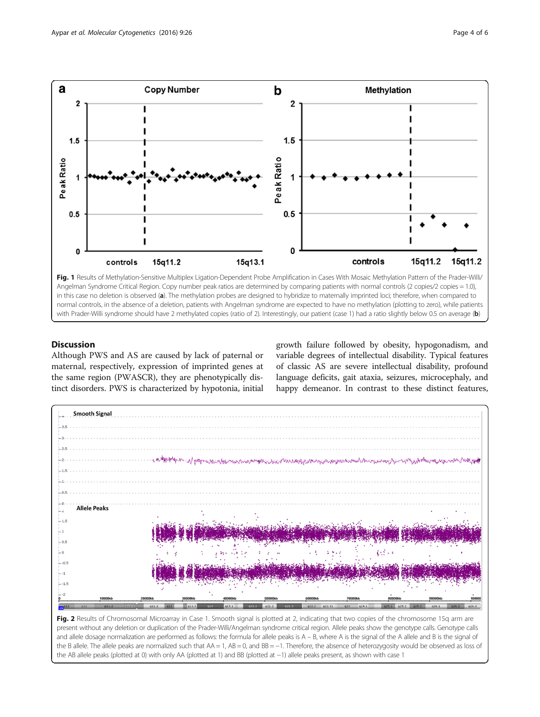<span id="page-3-0"></span>

## **Discussion**

Although PWS and AS are caused by lack of paternal or maternal, respectively, expression of imprinted genes at the same region (PWASCR), they are phenotypically distinct disorders. PWS is characterized by hypotonia, initial growth failure followed by obesity, hypogonadism, and variable degrees of intellectual disability. Typical features of classic AS are severe intellectual disability, profound language deficits, gait ataxia, seizures, microcephaly, and happy demeanor. In contrast to these distinct features,



Fig. 2 Results of Chromosomal Microarray in Case 1. Smooth signal is plotted at 2, indicating that two copies of the chromosome 15q arm are present without any deletion or duplication of the Prader-Willi/Angelman syndrome critical region. Allele peaks show the genotype calls. Genotype calls and allele dosage normalization are performed as follows: the formula for allele peaks is A – B, where A is the signal of the A allele and B is the signal of the B allele. The allele peaks are normalized such that AA = 1, AB = 0, and BB = −1. Therefore, the absence of heterozygosity would be observed as loss of the AB allele peaks (plotted at 0) with only AA (plotted at 1) and BB (plotted at −1) allele peaks present, as shown with case 1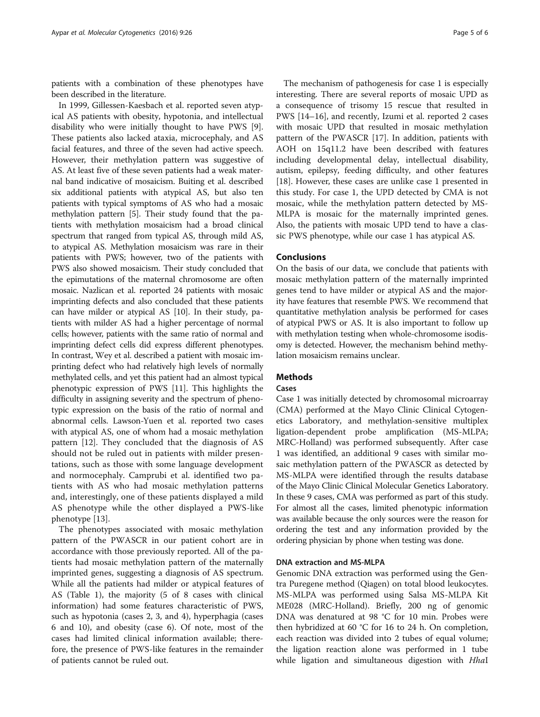patients with a combination of these phenotypes have been described in the literature.

In 1999, Gillessen-Kaesbach et al. reported seven atypical AS patients with obesity, hypotonia, and intellectual disability who were initially thought to have PWS [\[9](#page-5-0)]. These patients also lacked ataxia, microcephaly, and AS facial features, and three of the seven had active speech. However, their methylation pattern was suggestive of AS. At least five of these seven patients had a weak maternal band indicative of mosaicism. Buiting et al. described six additional patients with atypical AS, but also ten patients with typical symptoms of AS who had a mosaic methylation pattern [\[5](#page-5-0)]. Their study found that the patients with methylation mosaicism had a broad clinical spectrum that ranged from typical AS, through mild AS, to atypical AS. Methylation mosaicism was rare in their patients with PWS; however, two of the patients with PWS also showed mosaicism. Their study concluded that the epimutations of the maternal chromosome are often mosaic. Nazlican et al. reported 24 patients with mosaic imprinting defects and also concluded that these patients can have milder or atypical AS [[10](#page-5-0)]. In their study, patients with milder AS had a higher percentage of normal cells; however, patients with the same ratio of normal and imprinting defect cells did express different phenotypes. In contrast, Wey et al. described a patient with mosaic imprinting defect who had relatively high levels of normally methylated cells, and yet this patient had an almost typical phenotypic expression of PWS [\[11](#page-5-0)]. This highlights the difficulty in assigning severity and the spectrum of phenotypic expression on the basis of the ratio of normal and abnormal cells. Lawson-Yuen et al. reported two cases with atypical AS, one of whom had a mosaic methylation pattern [\[12\]](#page-5-0). They concluded that the diagnosis of AS should not be ruled out in patients with milder presentations, such as those with some language development and normocephaly. Camprubi et al. identified two patients with AS who had mosaic methylation patterns and, interestingly, one of these patients displayed a mild AS phenotype while the other displayed a PWS-like phenotype [[13](#page-5-0)].

The phenotypes associated with mosaic methylation pattern of the PWASCR in our patient cohort are in accordance with those previously reported. All of the patients had mosaic methylation pattern of the maternally imprinted genes, suggesting a diagnosis of AS spectrum. While all the patients had milder or atypical features of AS (Table [1](#page-2-0)), the majority (5 of 8 cases with clinical information) had some features characteristic of PWS, such as hypotonia (cases 2, 3, and 4), hyperphagia (cases 6 and 10), and obesity (case 6). Of note, most of the cases had limited clinical information available; therefore, the presence of PWS-like features in the remainder of patients cannot be ruled out.

The mechanism of pathogenesis for case 1 is especially interesting. There are several reports of mosaic UPD as a consequence of trisomy 15 rescue that resulted in PWS [[14](#page-5-0)–[16](#page-5-0)], and recently, Izumi et al. reported 2 cases with mosaic UPD that resulted in mosaic methylation pattern of the PWASCR [[17](#page-5-0)]. In addition, patients with AOH on 15q11.2 have been described with features including developmental delay, intellectual disability, autism, epilepsy, feeding difficulty, and other features [[18\]](#page-5-0). However, these cases are unlike case 1 presented in this study. For case 1, the UPD detected by CMA is not mosaic, while the methylation pattern detected by MS-MLPA is mosaic for the maternally imprinted genes. Also, the patients with mosaic UPD tend to have a classic PWS phenotype, while our case 1 has atypical AS.

### Conclusions

On the basis of our data, we conclude that patients with mosaic methylation pattern of the maternally imprinted genes tend to have milder or atypical AS and the majority have features that resemble PWS. We recommend that quantitative methylation analysis be performed for cases of atypical PWS or AS. It is also important to follow up with methylation testing when whole-chromosome isodisomy is detected. However, the mechanism behind methylation mosaicism remains unclear.

### Methods

### Cases

Case 1 was initially detected by chromosomal microarray (CMA) performed at the Mayo Clinic Clinical Cytogenetics Laboratory, and methylation-sensitive multiplex ligation-dependent probe amplification (MS-MLPA; MRC-Holland) was performed subsequently. After case 1 was identified, an additional 9 cases with similar mosaic methylation pattern of the PWASCR as detected by MS-MLPA were identified through the results database of the Mayo Clinic Clinical Molecular Genetics Laboratory. In these 9 cases, CMA was performed as part of this study. For almost all the cases, limited phenotypic information was available because the only sources were the reason for ordering the test and any information provided by the ordering physician by phone when testing was done.

### DNA extraction and MS-MLPA

Genomic DNA extraction was performed using the Gentra Puregene method (Qiagen) on total blood leukocytes. MS-MLPA was performed using Salsa MS-MLPA Kit ME028 (MRC-Holland). Briefly, 200 ng of genomic DNA was denatured at 98 °C for 10 min. Probes were then hybridized at 60 °C for 16 to 24 h. On completion, each reaction was divided into 2 tubes of equal volume; the ligation reaction alone was performed in 1 tube while ligation and simultaneous digestion with *HhaI*